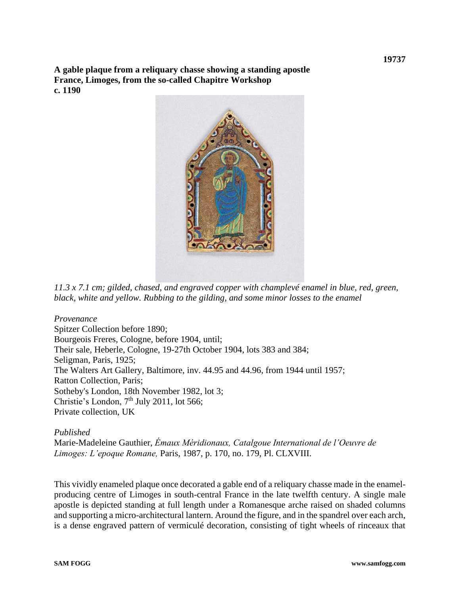**A gable plaque from a reliquary chasse showing a standing apostle France, Limoges, from the so-called Chapitre Workshop c. 1190**



*11.3 x 7.1 cm; gilded, chased, and engraved copper with champlevé enamel in blue, red, green, black, white and yellow. Rubbing to the gilding, and some minor losses to the enamel*

*Provenance* Spitzer Collection before 1890; Bourgeois Freres, Cologne, before 1904, until; Their sale, Heberle, Cologne, 19-27th October 1904, lots 383 and 384; Seligman, Paris, 1925; The Walters Art Gallery, Baltimore, inv. 44.95 and 44.96, from 1944 until 1957; Ratton Collection, Paris; Sotheby's London, 18th November 1982, lot 3; Christie's London,  $7<sup>th</sup>$  July 2011, lot 566; Private collection, UK

## *Published*

Marie-Madeleine Gauthier, *Émaux Méridionaux, Catalgoue International de l'Oeuvre de Limoges: L'epoque Romane,* Paris, 1987, p. 170, no. 179, Pl. CLXVIII.

This vividly enameled plaque once decorated a gable end of a reliquary chasse made in the enamelproducing centre of Limoges in south-central France in the late twelfth century. A single male apostle is depicted standing at full length under a Romanesque arche raised on shaded columns and supporting a micro-architectural lantern. Around the figure, and in the spandrel over each arch, is a dense engraved pattern of vermiculé decoration, consisting of tight wheels of rinceaux that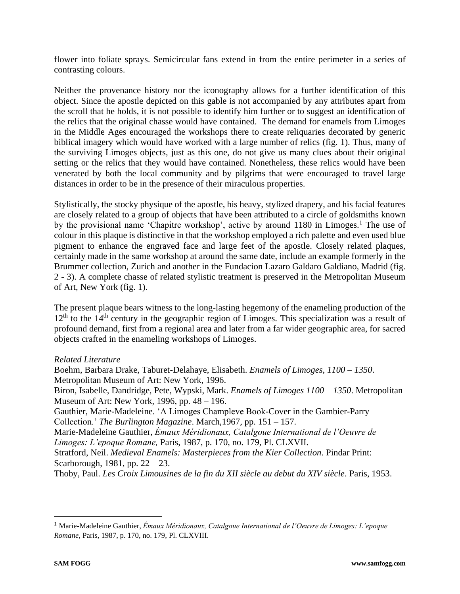flower into foliate sprays. Semicircular fans extend in from the entire perimeter in a series of contrasting colours.

Neither the provenance history nor the iconography allows for a further identification of this object. Since the apostle depicted on this gable is not accompanied by any attributes apart from the scroll that he holds, it is not possible to identify him further or to suggest an identification of the relics that the original chasse would have contained. The demand for enamels from Limoges in the Middle Ages encouraged the workshops there to create reliquaries decorated by generic biblical imagery which would have worked with a large number of relics (fig. 1). Thus, many of the surviving Limoges objects, just as this one, do not give us many clues about their original setting or the relics that they would have contained. Nonetheless, these relics would have been venerated by both the local community and by pilgrims that were encouraged to travel large distances in order to be in the presence of their miraculous properties.

Stylistically, the stocky physique of the apostle, his heavy, stylized drapery, and his facial features are closely related to a group of objects that have been attributed to a circle of goldsmiths known by the provisional name 'Chapitre workshop', active by around  $1180$  in Limoges.<sup>1</sup> The use of colour in this plaque is distinctive in that the workshop employed a rich palette and even used blue pigment to enhance the engraved face and large feet of the apostle. Closely related plaques, certainly made in the same workshop at around the same date, include an example formerly in the Brummer collection, Zurich and another in the Fundacion Lazaro Galdaro Galdiano, Madrid (fig. 2 - 3). A complete chasse of related stylistic treatment is preserved in the Metropolitan Museum of Art, New York (fig. 1).

The present plaque bears witness to the long-lasting hegemony of the enameling production of the  $12<sup>th</sup>$  to the 14<sup>th</sup> century in the geographic region of Limoges. This specialization was a result of profound demand, first from a regional area and later from a far wider geographic area, for sacred objects crafted in the enameling workshops of Limoges.

## *Related Literature*

Boehm, Barbara Drake, Taburet-Delahaye, Elisabeth. *Enamels of Limoges, 1100 – 1350*. Metropolitan Museum of Art: New York, 1996. Biron, Isabelle, Dandridge, Pete, Wypski, Mark. *Enamels of Limoges 1100 – 1350*. Metropolitan Museum of Art: New York, 1996, pp. 48 – 196. Gauthier, Marie-Madeleine. 'A Limoges Champleve Book-Cover in the Gambier-Parry Collection.' *The Burlington Magazine*. March,1967, pp. 151 – 157. Marie-Madeleine Gauthier, *Émaux Méridionaux, Catalgoue International de l'Oeuvre de Limoges: L'epoque Romane,* Paris, 1987, p. 170, no. 179, Pl. CLXVII. Stratford, Neil. *Medieval Enamels: Masterpieces from the Kier Collection*. Pindar Print: Scarborough, 1981, pp. 22 – 23. Thoby, Paul. *Les Croix Limousines de la fin du XII siècle au debut du XIV siècle*. Paris, 1953.

<sup>1</sup> Marie-Madeleine Gauthier, *Émaux Méridionaux, Catalgoue International de l'Oeuvre de Limoges: L'epoque Romane,* Paris, 1987, p. 170, no. 179, Pl. CLXVIII.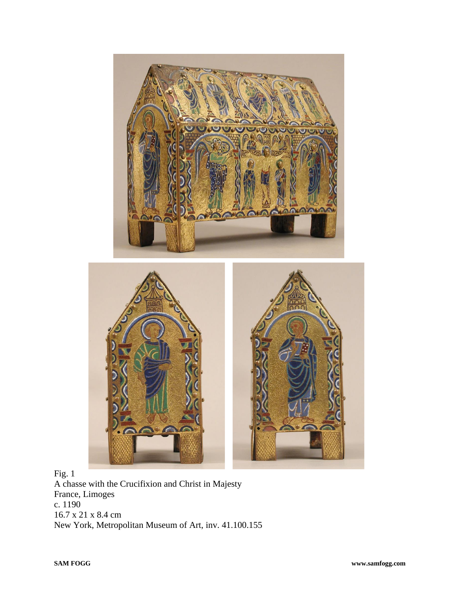

Fig. 1 A chasse with the Crucifixion and Christ in Majesty France, Limoges c. 1190 16.7 x 21 x 8.4 cm New York, Metropolitan Museum of Art, inv. 41.100.155